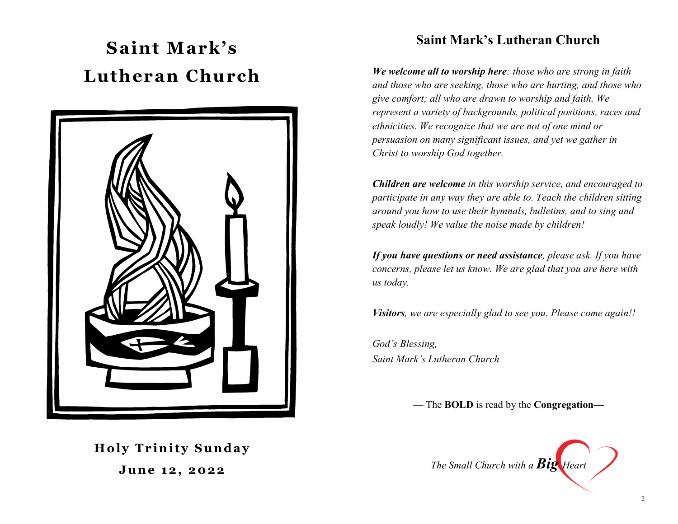# **Saint Mark's Lutheran Church**



# **Saint Mark's Lutheran Church**

*We welcome all to worship here: those who are strong in faith and those who are seeking, those who are hurting, and those who give comfort; all who are drawn to worship and faith. We represent a variety of backgrounds, political positions, races and ethnicities. We recognize that we are not of one mind or persuasion on many significant issues, and yet we gather in Christ to worship God together.* 

*Children are welcome in this worship service, and encouraged to participate in any way they are able to. Teach the children sitting around you how to use their hymnals, bulletins, and to sing and speak loudly! We value the noise made by children!* 

*If you have questions or need assistance, please ask. If you have concerns, please let us know. We are glad that you are here with us today.* 

*Visitors, we are especially glad to see you. Please come again!!* 

*God's Blessing, Saint Mark's Lutheran Church*

— The **BOLD** is read by the **Congregation—**

**Holy Trinity Sunday June 12, 2022** 

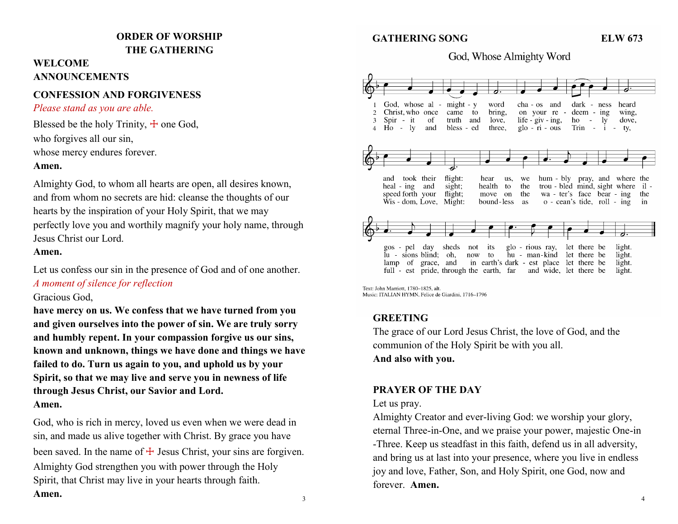### **ORDER OF WORSHIP THE GATHERING**

## **WELCOME ANNOUNCEMENTS**

### **CONFESSION AND FORGIVENESS**

#### *Please stand as you are able.*

Blessed be the holy Trinity,  $\pm$  one God, who forgives all our sin,

whose mercy endures forever.

#### **Amen.**

Almighty God, to whom all hearts are open, all desires known, and from whom no secrets are hid: cleanse the thoughts of our hearts by the inspiration of your Holy Spirit, that we may perfectly love you and worthily magnify your holy name, through Jesus Christ our Lord.

#### **Amen.**

Let us confess our sin in the presence of God and of one another. *A moment of silence for reflection*

#### Gracious God,

**have mercy on us. We confess that we have turned from you and given ourselves into the power of sin. We are truly sorry and humbly repent. In your compassion forgive us our sins, known and unknown, things we have done and things we have failed to do. Turn us again to you, and uphold us by your Spirit, so that we may live and serve you in newness of life through Jesus Christ, our Savior and Lord. Amen.**

God, who is rich in mercy, loved us even when we were dead in sin, and made us alive together with Christ. By grace you have been saved. In the name of  $\pm$  Jesus Christ, your sins are forgiven. Almighty God strengthen you with power through the Holy Spirit, that Christ may live in your hearts through faith. **Amen.**  $\frac{3}{4}$ 

### **GATHERING SONG ELW 673**

### God, Whose Almighty Word



Text: John Marriott, 1780-1825, alt. Music: ITALIAN HYMN, Felice de Giardini, 1716-1796

# **GREETING**

The grace of our Lord Jesus Christ, the love of God, and the communion of the Holy Spirit be with you all. **And also with you.**

### **PRAYER OF THE DAY**

#### Let us pray.

Almighty Creator and ever-living God: we worship your glory, eternal Three-in-One, and we praise your power, majestic One-in -Three. Keep us steadfast in this faith, defend us in all adversity, and bring us at last into your presence, where you live in endless joy and love, Father, Son, and Holy Spirit, one God, now and forever. **Amen.**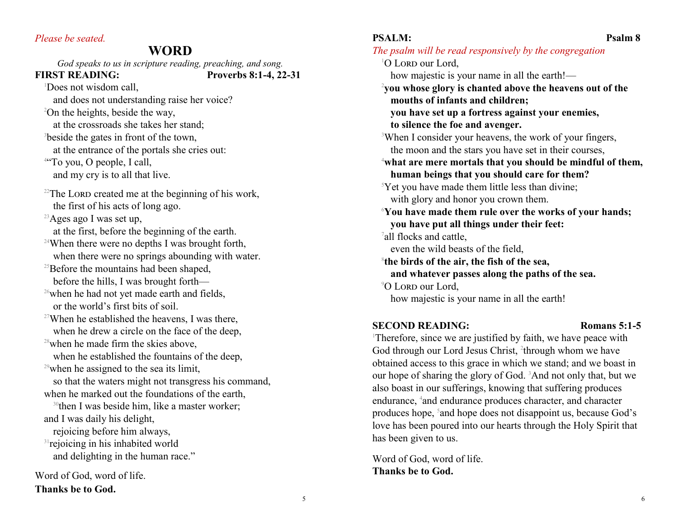#### *Please be seated.*

**Thanks be to God.**

# **WORD**

*God speaks to us in scripture reading, preaching, and song.*  **FIRST READING: Proverbs 8:1-4, 22-31** <sup>1</sup>Does not wisdom call. and does not understanding raise her voice? <sup>2</sup>On the heights, beside the way, at the crossroads she takes her stand; <sup>3</sup>beside the gates in front of the town, at the entrance of the portals she cries out: <sup>4"</sup>To you, O people, I call, and my cry is to all that live.  $22$ The LORD created me at the beginning of his work, the first of his acts of long ago. <sup>23</sup>Ages ago I was set up, at the first, before the beginning of the earth. <sup>24</sup>When there were no depths I was brought forth, when there were no springs abounding with water.  $25$ Before the mountains had been shaped, before the hills, I was brought forth— <sup>26</sup>when he had not yet made earth and fields, or the world's first bits of soil.  $27$ When he established the heavens, I was there, when he drew a circle on the face of the deep, <sup>28</sup>when he made firm the skies above. when he established the fountains of the deep,  $29$  when he assigned to the sea its limit, so that the waters might not transgress his command, when he marked out the foundations of the earth, <sup>30</sup>then I was beside him, like a master worker; and I was daily his delight, rejoicing before him always, <sup>31</sup> rejoicing in his inhabited world and delighting in the human race." Word of God, word of life.

PSALM: Psalm 8 *The psalm will be read responsively by the congregation*  $1$ O Lord our Lord, how majestic is your name in all the earth!— <sup>2</sup>**you whose glory is chanted above the heavens out of the mouths of infants and children; you have set up a fortress against your enemies, to silence the foe and avenger.** <sup>3</sup>When I consider your heavens, the work of your fingers, the moon and the stars you have set in their courses, <sup>4</sup>**what are mere mortals that you should be mindful of them, human beings that you should care for them?**  $\gamma$ <sup>5</sup>Yet you have made them little less than divine; with glory and honor you crown them. <sup>6</sup>**You have made them rule over the works of your hands; you have put all things under their feet:** <sup>7</sup>all flocks and cattle, even the wild beasts of the field, 8 **the birds of the air, the fish of the sea, and whatever passes along the paths of the sea.** <sup>9</sup>O LORD our Lord, how majestic is your name in all the earth!

#### **SECOND READING: Romans 5:1-5**

<sup>1</sup>Therefore, since we are justified by faith, we have peace with God through our Lord Jesus Christ, <sup>2</sup>through whom we have obtained access to this grace in which we stand; and we boast in our hope of sharing the glory of God. 3And not only that, but we also boast in our sufferings, knowing that suffering produces endurance, <sup>4</sup> and endurance produces character, and character produces hope, <sup>5</sup> and hope does not disappoint us, because God's love has been poured into our hearts through the Holy Spirit that has been given to us.

Word of God, word of life. **Thanks be to God.**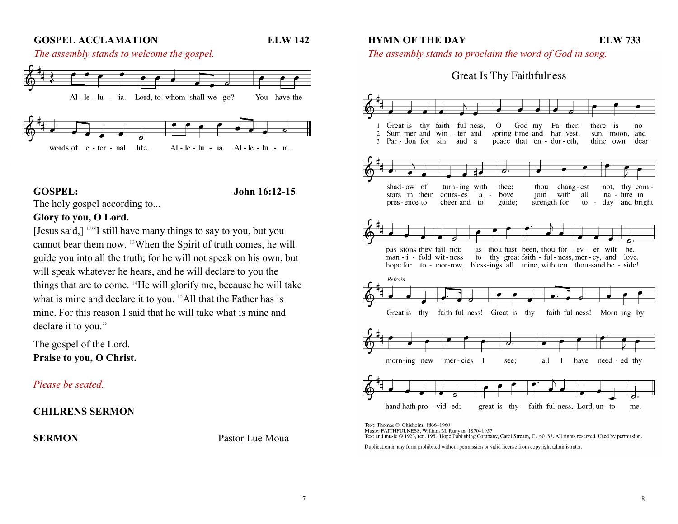#### **GOSPEL ACCLAMATION ELW 142**

**HYMN OF THE DAY ELW 733** 





**GOSPEL: John 16:12-15**

The holy gospel according to...

### **Glory to you, O Lord.**

[Jesus said,] <sup>12</sup> "I still have many things to say to you, but you cannot bear them now. 13When the Spirit of truth comes, he will guide you into all the truth; for he will not speak on his own, but will speak whatever he hears, and he will declare to you the things that are to come. 14He will glorify me, because he will take what is mine and declare it to you. <sup>15</sup>All that the Father has is mine. For this reason I said that he will take what is mine and declare it to you."

The gospel of the Lord. **Praise to you, O Christ.**

*Please be seated.*

#### **CHILRENS SERMON**

**SERMON** Pastor Lue Moua

*The assembly stands to proclaim the word of God in song.*

# **Great Is Thy Faithfulness**



Text: Thomas O. Chisholm, 1866-1960 Music: FAITHFULNESS, William M. Runyan, 1870-1957 Text and music © 1923, ren. 1951 Hope Publishing Company, Carol Stream, IL 60188. All rights reserved. Used by permission.

Duplication in any form prohibited without permission or valid license from copyright administrator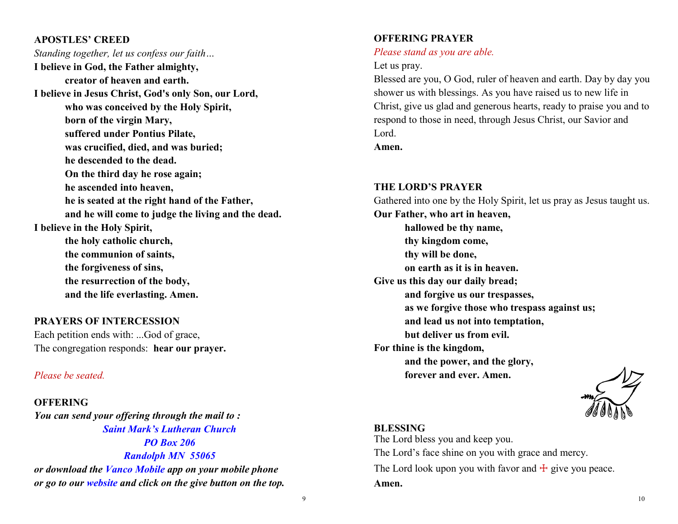#### **APOSTLES' CREED**

*Standing together, let us confess our faith…* **I believe in God, the Father almighty, creator of heaven and earth. I believe in Jesus Christ, God's only Son, our Lord, who was conceived by the Holy Spirit, born of the virgin Mary, suffered under Pontius Pilate, was crucified, died, and was buried; he descended to the dead. On the third day he rose again; he ascended into heaven, he is seated at the right hand of the Father, and he will come to judge the living and the dead. I believe in the Holy Spirit, the holy catholic church, the communion of saints, the forgiveness of sins, the resurrection of the body, and the life everlasting. Amen.**

#### **PRAYERS OF INTERCESSION**

Each petition ends with: ...God of grace, The congregation responds: **hear our prayer.**

#### *Please be seated.*

**OFFERING** *You can send your offering through the mail to : Saint Mark's Lutheran Church PO Box 206 Randolph MN 55065 or download the Vanco Mobile app on your mobile phone or go to our website and click on the give button on the top.*

#### **OFFERING PRAYER**

#### *Please stand as you are able.*

#### Let us pray.

Blessed are you, O God, ruler of heaven and earth. Day by day you shower us with blessings. As you have raised us to new life in Christ, give us glad and generous hearts, ready to praise you and to respond to those in need, through Jesus Christ, our Savior and Lord.

**Amen.**

#### **THE LORD'S PRAYER**

Gathered into one by the Holy Spirit, let us pray as Jesus taught us.

**Our Father, who art in heaven, hallowed be thy name, thy kingdom come, thy will be done, on earth as it is in heaven. Give us this day our daily bread; and forgive us our trespasses, as we forgive those who trespass against us; and lead us not into temptation, but deliver us from evil. For thine is the kingdom, and the power, and the glory, forever and ever. Amen.** 

#### **BLESSING**

The Lord bless you and keep you. The Lord's face shine on you with grace and mercy. The Lord look upon you with favor and  $\pm$  give you peace. **Amen.**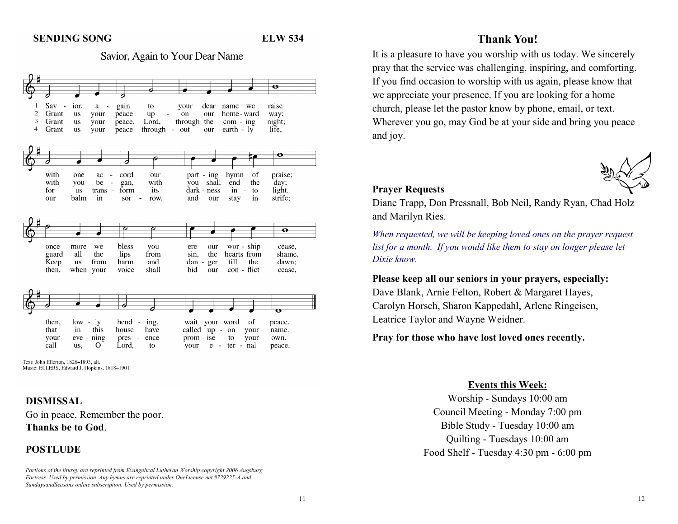#### **SENDING SONG****ELW 534**

Savior, Again to Your Dear Name



Text: John Ellerton, 1826-1893, alt. Music: ELLERS, Edward J. Hopkins, 1818-1901

#### **DISMISSAL**

Go in peace. Remember the poor. **Thanks be to God**.

#### **POSTLUDE**

*Portions of the liturgy are reprinted from Evangelical Lutheran Worship copyright 2006 Augsburg Fortress. Used by permission. Any hymns are reprinted under OneLicense.net #729225-A and SundaysandSeasons online subscription. Used by permission.*

### **Thank You!**

It is a pleasure to have you worship with us today. We sincerely pray that the service was challenging, inspiring, and comforting. If you find occasion to worship with us again, please know that we appreciate your presence. If you are looking for a home church, please let the pastor know by phone, email, or text. Wherever you go, may God be at your side and bring you peace and joy.



#### **Prayer Requests**

Diane Trapp, Don Pressnall, Bob Neil, Randy Ryan, Chad Holz and Marilyn Ries.

*When requested, we will be keeping loved ones on the prayer request list for a month. If you would like them to stay on longer please let Dixie know.*

**Please keep all our seniors in your prayers, especially:**  Dave Blank, Arnie Felton, Robert & Margaret Hayes, Carolyn Horsch, Sharon Kappedahl, Arlene Ringeisen, Leatrice Taylor and Wayne Weidner.

**Pray for those who have lost loved ones recently.**

#### **Events this Week:**

Worship - Sundays 10:00 am Council Meeting - Monday 7:00 pm Bible Study - Tuesday 10:00 am Quilting - Tuesdays 10:00 am Food Shelf - Tuesday 4:30 pm - 6:00 pm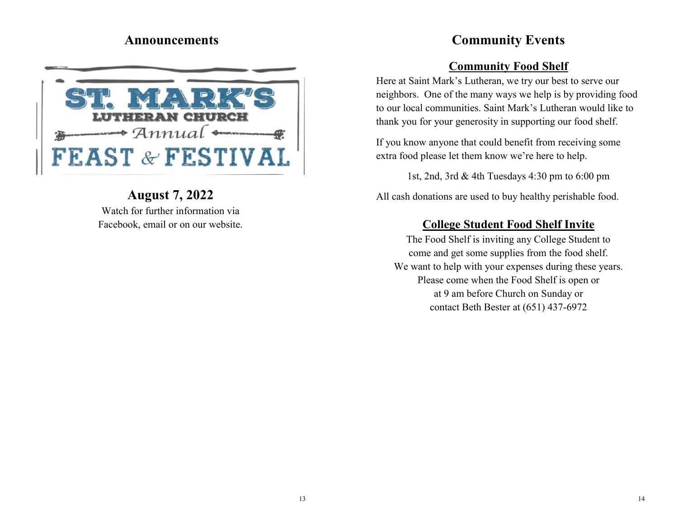# **Announcements**



# **August 7, 2022** Watch for further information via Facebook, email or on our website.

# **Community Events**

# **Community Food Shelf**

Here at Saint Mark's Lutheran, we try our best to serve our neighbors. One of the many ways we help is by providing food to our local communities. Saint Mark's Lutheran would like to thank you for your generosity in supporting our food shelf.

If you know anyone that could benefit from receiving some extra food please let them know we're here to help.

1st, 2nd, 3rd & 4th Tuesdays 4:30 pm to 6:00 pm

All cash donations are used to buy healthy perishable food.

# **College Student Food Shelf Invite**

The Food Shelf is inviting any College Student to come and get some supplies from the food shelf. We want to help with your expenses during these years. Please come when the Food Shelf is open or at 9 am before Church on Sunday or contact Beth Bester at (651) 437-6972